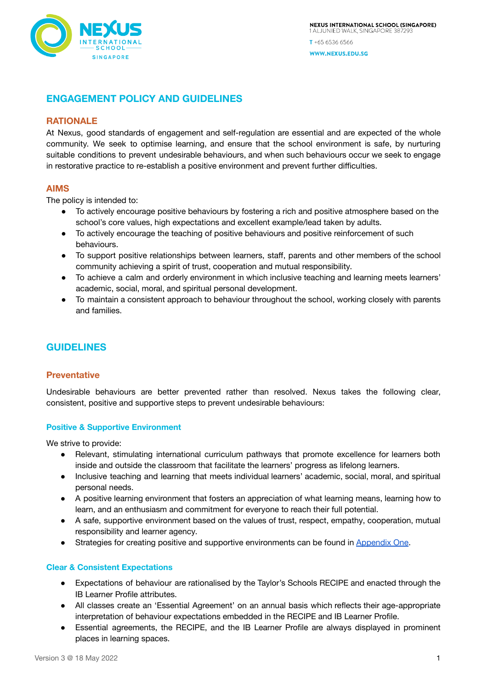

# **ENGAGEMENT POLICY AND GUIDELINES**

# **RATIONALE**

At Nexus, good standards of engagement and self-regulation are essential and are expected of the whole community. We seek to optimise learning, and ensure that the school environment is safe, by nurturing suitable conditions to prevent undesirable behaviours, and when such behaviours occur we seek to engage in restorative practice to re-establish a positive environment and prevent further difficulties.

# **AIMS**

The policy is intended to:

- To actively encourage positive behaviours by fostering a rich and positive atmosphere based on the school's core values, high expectations and excellent example/lead taken by adults.
- To actively encourage the teaching of positive behaviours and positive reinforcement of such behaviours.
- To support positive relationships between learners, staff, parents and other members of the school community achieving a spirit of trust, cooperation and mutual responsibility.
- To achieve a calm and orderly environment in which inclusive teaching and learning meets learners' academic, social, moral, and spiritual personal development.
- To maintain a consistent approach to behaviour throughout the school, working closely with parents and families.

# **GUIDELINES**

## **Preventative**

Undesirable behaviours are better prevented rather than resolved. Nexus takes the following clear, consistent, positive and supportive steps to prevent undesirable behaviours:

## **Positive & Supportive Environment**

We strive to provide:

- Relevant, stimulating international curriculum pathways that promote excellence for learners both inside and outside the classroom that facilitate the learners' progress as lifelong learners.
- Inclusive teaching and learning that meets individual learners' academic, social, moral, and spiritual personal needs.
- A positive learning environment that fosters an appreciation of what learning means, learning how to learn, and an enthusiasm and commitment for everyone to reach their full potential.
- A safe, supportive environment based on the values of trust, respect, empathy, cooperation, mutual responsibility and learner agency.
- Strategies for creating positive and supportive environments can be found in [Appendix](#page-4-0) One.

## **Clear & Consistent Expectations**

- Expectations of behaviour are rationalised by the Taylor's Schools RECIPE and enacted through the IB Learner Profile attributes.
- All classes create an 'Essential Agreement' on an annual basis which reflects their age-appropriate interpretation of behaviour expectations embedded in the RECIPE and IB Learner Profile.
- Essential agreements, the RECIPE, and the IB Learner Profile are always displayed in prominent places in learning spaces.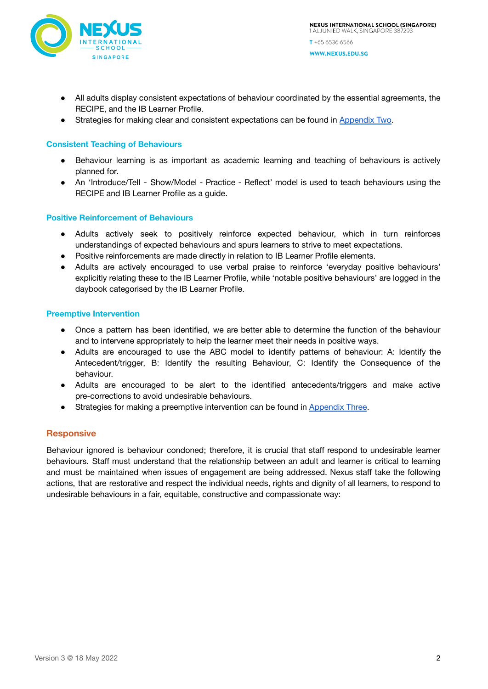

- All adults display consistent expectations of behaviour coordinated by the essential agreements, the RECIPE, and the IB Learner Profile.
- Strategies for making clear and consistent expectations can be found in [Appendix](#page-4-1) Two.

#### **Consistent Teaching of Behaviours**

- Behaviour learning is as important as academic learning and teaching of behaviours is actively planned for.
- An 'Introduce/Tell Show/Model Practice Reflect' model is used to teach behaviours using the RECIPE and IB Learner Profile as a guide.

#### **Positive Reinforcement of Behaviours**

- Adults actively seek to positively reinforce expected behaviour, which in turn reinforces understandings of expected behaviours and spurs learners to strive to meet expectations.
- Positive reinforcements are made directly in relation to IB Learner Profile elements.
- Adults are actively encouraged to use verbal praise to reinforce 'everyday positive behaviours' explicitly relating these to the IB Learner Profile, while 'notable positive behaviours' are logged in the daybook categorised by the IB Learner Profile.

#### **Preemptive Intervention**

- Once a pattern has been identified, we are better able to determine the function of the behaviour and to intervene appropriately to help the learner meet their needs in positive ways.
- Adults are encouraged to use the ABC model to identify patterns of behaviour: A: Identify the Antecedent/trigger, B: Identify the resulting Behaviour, C: Identify the Consequence of the behaviour.
- Adults are encouraged to be alert to the identified antecedents/triggers and make active pre-corrections to avoid undesirable behaviours.
- Strategies for making a preemptive intervention can be found in [Appendix](#page-5-0) Three.

## **Responsive**

Behaviour ignored is behaviour condoned; therefore, it is crucial that staff respond to undesirable learner behaviours. Staff must understand that the relationship between an adult and learner is critical to learning and must be maintained when issues of engagement are being addressed. Nexus staff take the following actions, that are restorative and respect the individual needs, rights and dignity of all learners, to respond to undesirable behaviours in a fair, equitable, constructive and compassionate way: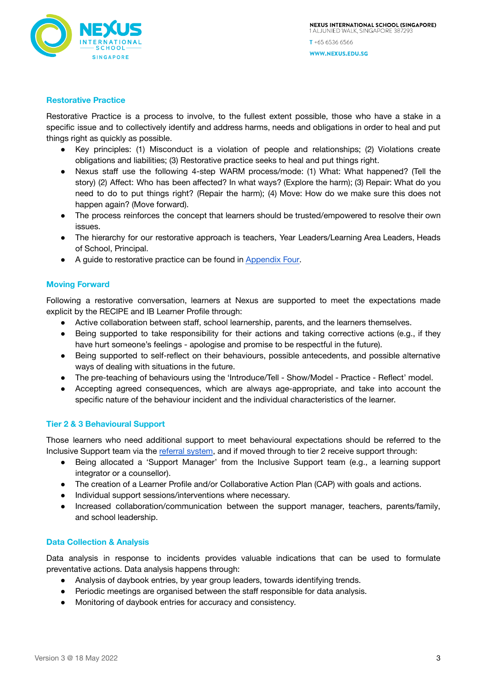

## **Restorative Practice**

Restorative Practice is a process to involve, to the fullest extent possible, those who have a stake in a specific issue and to collectively identify and address harms, needs and obligations in order to heal and put things right as quickly as possible.

- Key principles: (1) Misconduct is a violation of people and relationships; (2) Violations create obligations and liabilities; (3) Restorative practice seeks to heal and put things right.
- Nexus staff use the following 4-step WARM process/mode: (1) What: What happened? (Tell the story) (2) Affect: Who has been affected? In what ways? (Explore the harm); (3) Repair: What do you need to do to put things right? (Repair the harm); (4) Move: How do we make sure this does not happen again? (Move forward).
- The process reinforces the concept that learners should be trusted/empowered to resolve their own issues.
- The hierarchy for our restorative approach is teachers, Year Leaders/Learning Area Leaders, Heads of School, Principal.
- A guide to restorative practice can be found in [Appendix](#page-7-0) Four.

## **Moving Forward**

Following a restorative conversation, learners at Nexus are supported to meet the expectations made explicit by the RECIPE and IB Learner Profile through:

- Active collaboration between staff, school learnership, parents, and the learners themselves.
- Being supported to take responsibility for their actions and taking corrective actions (e.g., if they have hurt someone's feelings - apologise and promise to be respectful in the future).
- Being supported to self-reflect on their behaviours, possible antecedents, and possible alternative ways of dealing with situations in the future.
- The pre-teaching of behaviours using the 'Introduce/Tell Show/Model Practice Reflect' model.
- Accepting agreed consequences, which are always age-appropriate, and take into account the specific nature of the behaviour incident and the individual characteristics of the learner.

## **Tier 2 & 3 Behavioural Support**

Those learners who need additional support to meet behavioural expectations should be referred to the Inclusive Support team via the referral [system](https://sites.google.com/nexus.edu.sg/inclusivesupport/referrals), and if moved through to tier 2 receive support through:

- Being allocated a 'Support Manager' from the Inclusive Support team (e.g., a learning support integrator or a counsellor).
- The creation of a Learner Profile and/or Collaborative Action Plan (CAP) with goals and actions.
- Individual support sessions/interventions where necessary.
- Increased collaboration/communication between the support manager, teachers, parents/family, and school leadership.

## **Data Collection & Analysis**

Data analysis in response to incidents provides valuable indications that can be used to formulate preventative actions. Data analysis happens through:

- Analysis of daybook entries, by year group leaders, towards identifying trends.
- Periodic meetings are organised between the staff responsible for data analysis.
- Monitoring of daybook entries for accuracy and consistency.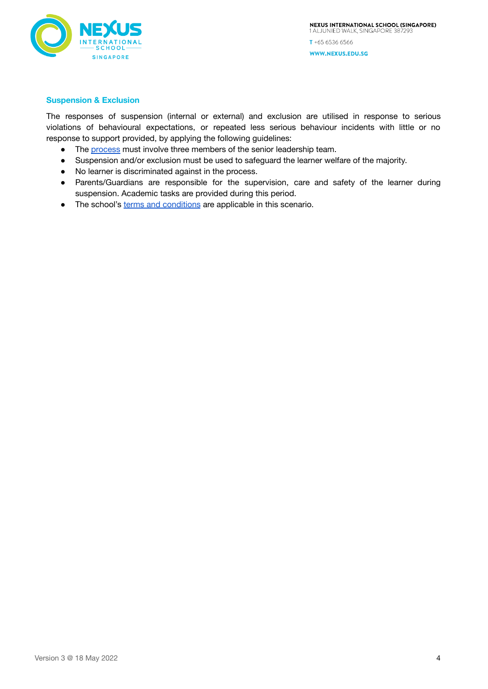

## **Suspension & Exclusion**

The responses of suspension (internal or external) and exclusion are utilised in response to serious violations of behavioural expectations, or repeated less serious behaviour incidents with little or no response to support provided, by applying the following guidelines:

- The [process](https://app.lucidchart.com/documents/view/4e819bc0-afbe-498f-ad40-831a0e1071fc/Cv9X1WBwrkiVt) must involve three members of the senior leadership team.
- Suspension and/or exclusion must be used to safeguard the learner welfare of the majority.
- No learner is discriminated against in the process.
- Parents/Guardians are responsible for the supervision, care and safety of the learner during suspension. Academic tasks are provided during this period.
- The school's terms and [conditions](https://parentzone.nexus.edu.sg/resources/ck/files/Downloads/Policies%20%26%20Insurance/NISS%20Terms%20and%20Conditions%20v1_2%20%40%2015%20Mar%202021.pdf) are applicable in this scenario.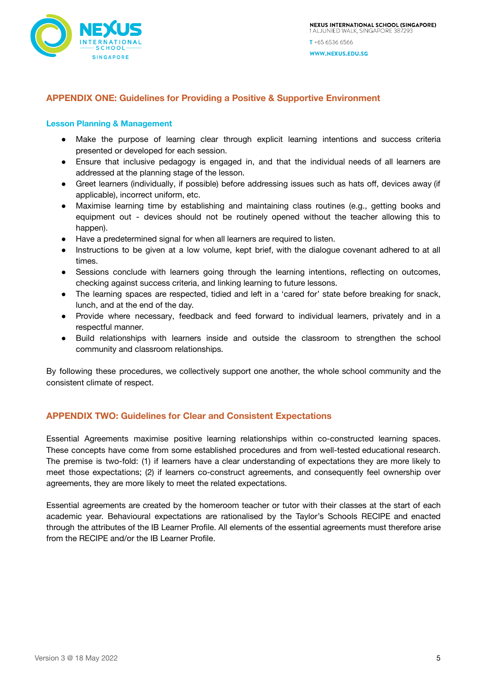

# <span id="page-4-0"></span>**APPENDIX ONE: Guidelines for Providing a Positive & Supportive Environment**

#### **Lesson Planning & Management**

- Make the purpose of learning clear through explicit learning intentions and success criteria presented or developed for each session.
- Ensure that inclusive pedagogy is engaged in, and that the individual needs of all learners are addressed at the planning stage of the lesson.
- Greet learners (individually, if possible) before addressing issues such as hats off, devices away (if applicable), incorrect uniform, etc.
- Maximise learning time by establishing and maintaining class routines (e.g., getting books and equipment out - devices should not be routinely opened without the teacher allowing this to happen).
- Have a predetermined signal for when all learners are required to listen.
- Instructions to be given at a low volume, kept brief, with the dialogue covenant adhered to at all times.
- Sessions conclude with learners going through the learning intentions, reflecting on outcomes, checking against success criteria, and linking learning to future lessons.
- The learning spaces are respected, tidied and left in a 'cared for' state before breaking for snack, lunch, and at the end of the day.
- Provide where necessary, feedback and feed forward to individual learners, privately and in a respectful manner.
- Build relationships with learners inside and outside the classroom to strengthen the school community and classroom relationships.

By following these procedures, we collectively support one another, the whole school community and the consistent climate of respect.

# <span id="page-4-1"></span>**APPENDIX TWO: Guidelines for Clear and Consistent Expectations**

Essential Agreements maximise positive learning relationships within co-constructed learning spaces. These concepts have come from some established procedures and from well-tested educational research. The premise is two-fold: (1) if learners have a clear understanding of expectations they are more likely to meet those expectations; (2) if learners co-construct agreements, and consequently feel ownership over agreements, they are more likely to meet the related expectations.

Essential agreements are created by the homeroom teacher or tutor with their classes at the start of each academic year. Behavioural expectations are rationalised by the Taylor's Schools RECIPE and enacted through the attributes of the IB Learner Profile. All elements of the essential agreements must therefore arise from the RECIPE and/or the IB Learner Profile.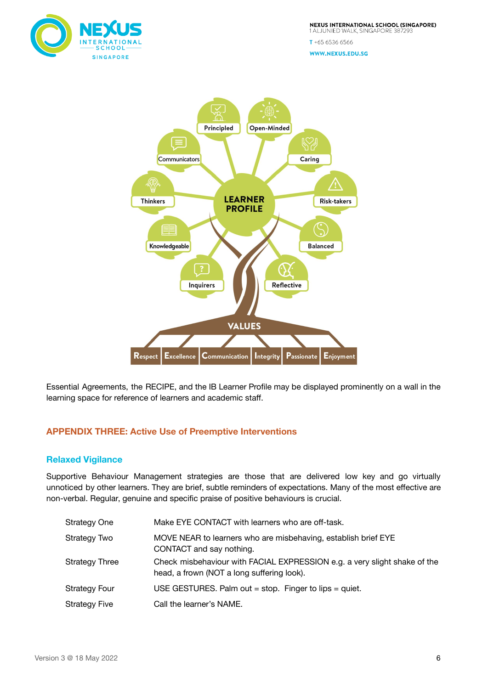

 $T + 6565366566$ WWW.NEXUS.EDU.SG



Essential Agreements, the RECIPE, and the IB Learner Profile may be displayed prominently on a wall in the learning space for reference of learners and academic staff.

# <span id="page-5-0"></span>**APPENDIX THREE: Active Use of Preemptive Interventions**

## **Relaxed Vigilance**

Supportive Behaviour Management strategies are those that are delivered low key and go virtually unnoticed by other learners. They are brief, subtle reminders of expectations. Many of the most effective are non-verbal. Regular, genuine and specific praise of positive behaviours is crucial.

| Strategy One   | Make EYE CONTACT with learners who are off-task.                                                                        |
|----------------|-------------------------------------------------------------------------------------------------------------------------|
| Strategy Two   | MOVE NEAR to learners who are misbehaving, establish brief EYE<br>CONTACT and say nothing.                              |
| Strategy Three | Check misbehaviour with FACIAL EXPRESSION e.g. a very slight shake of the<br>head, a frown (NOT a long suffering look). |
| Strategy Four  | USE GESTURES. Palm out = stop. Finger to lips = quiet.                                                                  |
| Strategy Five  | Call the learner's NAME.                                                                                                |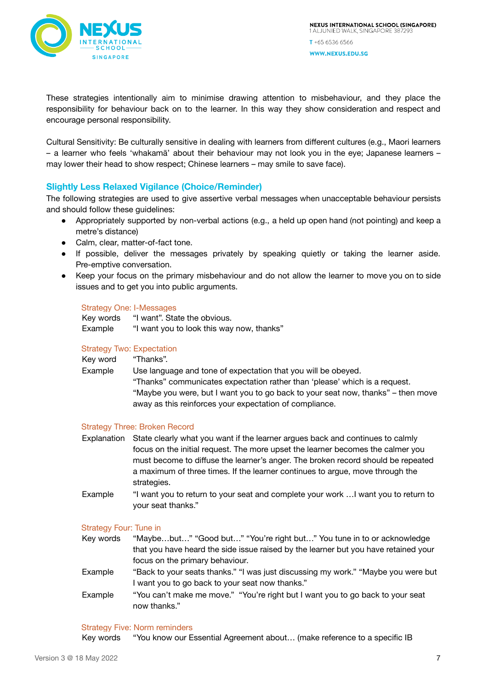

These strategies intentionally aim to minimise drawing attention to misbehaviour, and they place the responsibility for behaviour back on to the learner. In this way they show consideration and respect and encourage personal responsibility.

Cultural Sensitivity: Be culturally sensitive in dealing with learners from different cultures (e.g., Maori learners – a learner who feels 'whakamā' about their behaviour may not look you in the eye; Japanese learners – may lower their head to show respect; Chinese learners – may smile to save face).

# **Slightly Less Relaxed Vigilance (Choice/Reminder)**

The following strategies are used to give assertive verbal messages when unacceptable behaviour persists and should follow these guidelines:

- Appropriately supported by non-verbal actions (e.g., a held up open hand (not pointing) and keep a metre's distance)
- Calm, clear, matter-of-fact tone.
- If possible, deliver the messages privately by speaking quietly or taking the learner aside. Pre-emptive conversation.
- Keep your focus on the primary misbehaviour and do not allow the learner to move you on to side issues and to get you into public arguments.

#### Strategy One: I-Messages

| Key words | "I want". State the obvious.              |
|-----------|-------------------------------------------|
| Example   | "I want you to look this way now, thanks" |

#### Strategy Two: Expectation

| Kev word | "Thanks".                                                                        |
|----------|----------------------------------------------------------------------------------|
| Example  | Use language and tone of expectation that you will be obeyed.                    |
|          | "Thanks" communicates expectation rather than 'please' which is a request.       |
|          | "Maybe you were, but I want you to go back to your seat now, thanks" – then move |
|          | away as this reinforces your expectation of compliance.                          |
|          |                                                                                  |

## Strategy Three: Broken Record

- Explanation State clearly what you want if the learner argues back and continues to calmly focus on the initial request. The more upset the learner becomes the calmer you must become to diffuse the learner's anger. The broken record should be repeated a maximum of three times. If the learner continues to argue, move through the strategies.
- Example "I want you to return to your seat and complete your work …I want you to return to your seat thanks."

## Strategy Four: Tune in

- Key words "Maybe…but…" "Good but…" "You're right but…" You tune in to or acknowledge that you have heard the side issue raised by the learner but you have retained your focus on the primary behaviour.
- Example "Back to your seats thanks." "I was just discussing my work." "Maybe you were but I want you to go back to your seat now thanks."
- Example "You can't make me move." "You're right but I want you to go back to your seat now thanks."

#### Strategy Five: Norm reminders

Key words "You know our Essential Agreement about… (make reference to a specific IB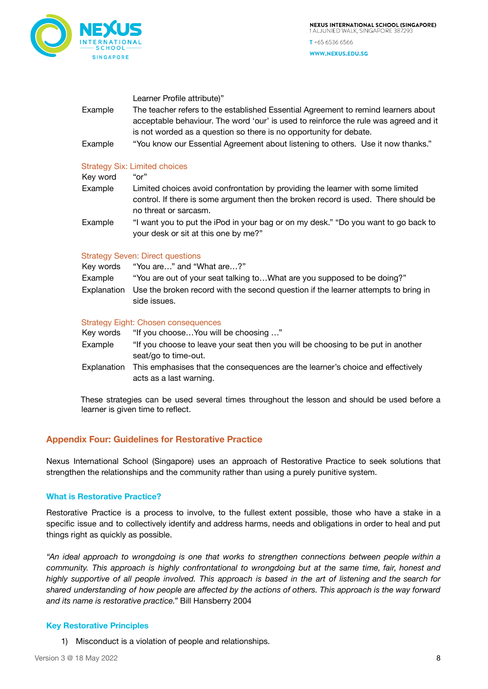

WWW.NEXUS.EDU.SG

Learner Profile attribute)"

- Example The teacher refers to the established Essential Agreement to remind learners about acceptable behaviour. The word 'our' is used to reinforce the rule was agreed and it is not worded as a question so there is no opportunity for debate.
- Example "You know our Essential Agreement about listening to others. Use it now thanks."

## Strategy Six: Limited choices

| Key word | "or"                                                                                                                                                                                          |
|----------|-----------------------------------------------------------------------------------------------------------------------------------------------------------------------------------------------|
| Example  | Limited choices avoid confrontation by providing the learner with some limited<br>control. If there is some argument then the broken record is used. There should be<br>no threat or sarcasm. |
| Example  | "I want you to put the iPod in your bag or on my desk." "Do you want to go back to<br>your desk or sit at this one by me?"                                                                    |

## Strategy Seven: Direct questions

Key words "You are…" and "What are…?" Example "You are out of your seat talking to…What are you supposed to be doing?" Explanation Use the broken record with the second question if the learner attempts to bring in side issues.

#### Strategy Eight: Chosen consequences

| Key words    | "If you chooseYou will be choosing "                                             |
|--------------|----------------------------------------------------------------------------------|
| Example      | "If you choose to leave your seat then you will be choosing to be put in another |
|              | seat/go to time-out.                                                             |
| Fxnlanation_ | This emphasises that the consequences are the learner's choice and effectively   |

kplanation This emphasises that the consequences are the learner's choice and effectively acts as a last warning.

These strategies can be used several times throughout the lesson and should be used before a learner is given time to reflect.

# <span id="page-7-0"></span>**Appendix Four: Guidelines for Restorative Practice**

Nexus International School (Singapore) uses an approach of Restorative Practice to seek solutions that strengthen the relationships and the community rather than using a purely punitive system.

## **What is Restorative Practice?**

Restorative Practice is a process to involve, to the fullest extent possible, those who have a stake in a specific issue and to collectively identify and address harms, needs and obligations in order to heal and put things right as quickly as possible.

*"An ideal approach to wrongdoing is one that works to strengthen connections between people within a community. This approach is highly confrontational to wrongdoing but at the same time, fair, honest and* highly supportive of all people involved. This approach is based in the art of listening and the search for shared understanding of how people are affected by the actions of others. This approach is the way forward *and its name is restorative practice."* Bill Hansberry 2004

## **Key Restorative Principles**

1) Misconduct is a violation of people and relationships.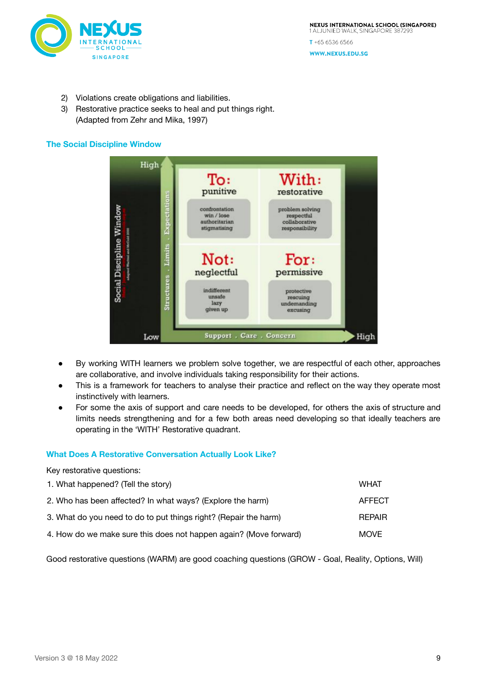

- 2) Violations create obligations and liabilities.
- 3) Restorative practice seeks to heal and put things right. (Adapted from Zehr and Mika, 1997)

## **The Social Discipline Window**



- By working WITH learners we problem solve together, we are respectful of each other, approaches are collaborative, and involve individuals taking responsibility for their actions.
- This is a framework for teachers to analyse their practice and reflect on the way they operate most instinctively with learners.
- For some the axis of support and care needs to be developed, for others the axis of structure and limits needs strengthening and for a few both areas need developing so that ideally teachers are operating in the 'WITH' Restorative quadrant.

## **What Does A Restorative Conversation Actually Look Like?**

Key restorative questions: 1. What happened? (Tell the story) NHAT 1. What happened? (Tell the story) 2. Who has been affected? In what ways? (Explore the harm) AFFECT 3. What do you need to do to put things right? (Repair the harm) REPAIR 4. How do we make sure this does not happen again? (Move forward) MOVE

Good restorative questions (WARM) are good coaching questions (GROW - Goal, Reality, Options, Will)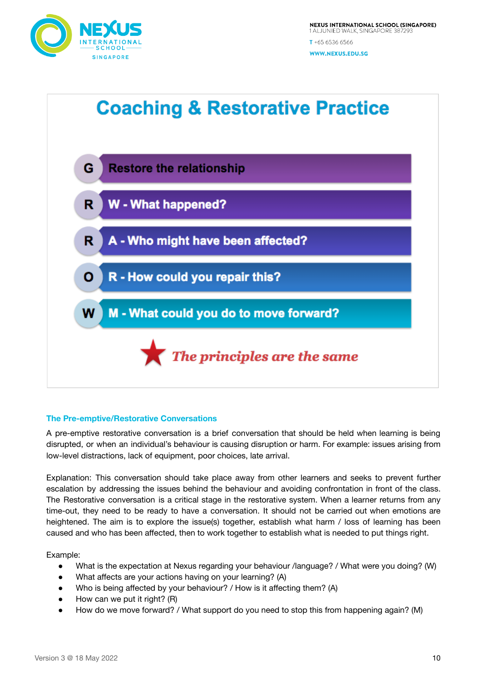



## **The Pre-emptive/Restorative Conversations**

A pre-emptive restorative conversation is a brief conversation that should be held when learning is being disrupted, or when an individual's behaviour is causing disruption or harm. For example: issues arising from low-level distractions, lack of equipment, poor choices, late arrival.

Explanation: This conversation should take place away from other learners and seeks to prevent further escalation by addressing the issues behind the behaviour and avoiding confrontation in front of the class. The Restorative conversation is a critical stage in the restorative system. When a learner returns from any time-out, they need to be ready to have a conversation. It should not be carried out when emotions are heightened. The aim is to explore the issue(s) together, establish what harm / loss of learning has been caused and who has been affected, then to work together to establish what is needed to put things right.

Example:

- What is the expectation at Nexus regarding your behaviour /language? / What were you doing? (W)
- What affects are your actions having on your learning? (A)
- Who is being affected by your behaviour? / How is it affecting them? (A)
- $\bullet$  How can we put it right? (R)
- How do we move forward? / What support do you need to stop this from happening again? (M)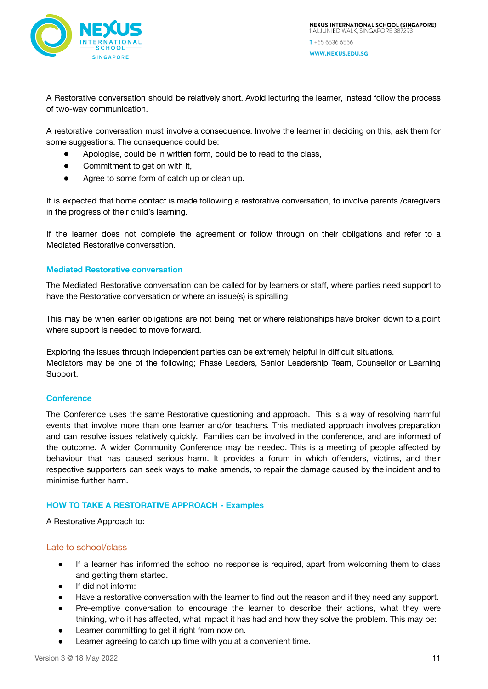

A Restorative conversation should be relatively short. Avoid lecturing the learner, instead follow the process of two-way communication.

A restorative conversation must involve a consequence. Involve the learner in deciding on this, ask them for some suggestions. The consequence could be:

- Apologise, could be in written form, could be to read to the class,
- Commitment to get on with it,
- Agree to some form of catch up or clean up.

It is expected that home contact is made following a restorative conversation, to involve parents /caregivers in the progress of their child's learning.

If the learner does not complete the agreement or follow through on their obligations and refer to a Mediated Restorative conversation.

#### **Mediated Restorative conversation**

The Mediated Restorative conversation can be called for by learners or staff, where parties need support to have the Restorative conversation or where an issue(s) is spiralling.

This may be when earlier obligations are not being met or where relationships have broken down to a point where support is needed to move forward.

Exploring the issues through independent parties can be extremely helpful in difficult situations. Mediators may be one of the following; Phase Leaders, Senior Leadership Team, Counsellor or Learning Support.

#### **Conference**

The Conference uses the same Restorative questioning and approach. This is a way of resolving harmful events that involve more than one learner and/or teachers. This mediated approach involves preparation and can resolve issues relatively quickly. Families can be involved in the conference, and are informed of the outcome. A wider Community Conference may be needed. This is a meeting of people affected by behaviour that has caused serious harm. It provides a forum in which offenders, victims, and their respective supporters can seek ways to make amends, to repair the damage caused by the incident and to minimise further harm.

#### **HOW TO TAKE A RESTORATIVE APPROACH - Examples**

A Restorative Approach to:

#### Late to school/class

- If a learner has informed the school no response is required, apart from welcoming them to class and getting them started.
- If did not inform:
- Have a restorative conversation with the learner to find out the reason and if they need any support.
- Pre-emptive conversation to encourage the learner to describe their actions, what they were thinking, who it has affected, what impact it has had and how they solve the problem. This may be:
- Learner committing to get it right from now on.
- Learner agreeing to catch up time with you at a convenient time.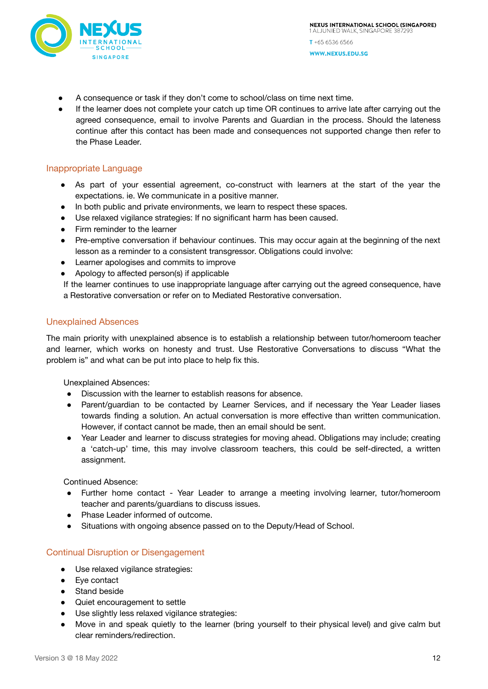

- A consequence or task if they don't come to school/class on time next time.
- If the learner does not complete your catch up time OR continues to arrive late after carrying out the agreed consequence, email to involve Parents and Guardian in the process. Should the lateness continue after this contact has been made and consequences not supported change then refer to the Phase Leader.

## Inappropriate Language

- As part of your essential agreement, co-construct with learners at the start of the year the expectations. ie. We communicate in a positive manner.
- In both public and private environments, we learn to respect these spaces.
- Use relaxed vigilance strategies: If no significant harm has been caused.
- Firm reminder to the learner
- Pre-emptive conversation if behaviour continues. This may occur again at the beginning of the next lesson as a reminder to a consistent transgressor. Obligations could involve:
- Learner apologises and commits to improve
- Apology to affected person(s) if applicable
- If the learner continues to use inappropriate language after carrying out the agreed consequence, have a Restorative conversation or refer on to Mediated Restorative conversation.

## Unexplained Absences

The main priority with unexplained absence is to establish a relationship between tutor/homeroom teacher and learner, which works on honesty and trust. Use Restorative Conversations to discuss "What the problem is" and what can be put into place to help fix this.

Unexplained Absences:

- Discussion with the learner to establish reasons for absence.
- Parent/guardian to be contacted by Learner Services, and if necessary the Year Leader liases towards finding a solution. An actual conversation is more effective than written communication. However, if contact cannot be made, then an email should be sent.
- Year Leader and learner to discuss strategies for moving ahead. Obligations may include; creating a 'catch-up' time, this may involve classroom teachers, this could be self-directed, a written assignment.

Continued Absence:

- Further home contact Year Leader to arrange a meeting involving learner, tutor/homeroom teacher and parents/guardians to discuss issues.
- Phase Leader informed of outcome.
- Situations with ongoing absence passed on to the Deputy/Head of School.

## Continual Disruption or Disengagement

- Use relaxed vigilance strategies:
- Eye contact
- Stand beside
- Quiet encouragement to settle
- Use slightly less relaxed vigilance strategies:
- Move in and speak quietly to the learner (bring yourself to their physical level) and give calm but clear reminders/redirection.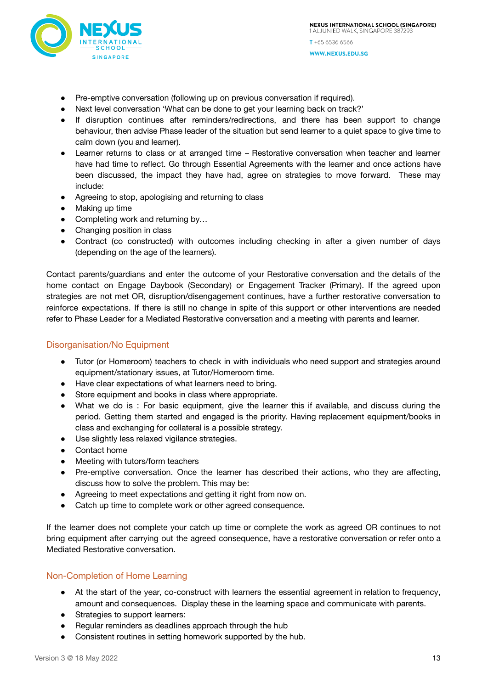

- Pre-emptive conversation (following up on previous conversation if required).
- Next level conversation 'What can be done to get your learning back on track?'
- If disruption continues after reminders/redirections, and there has been support to change behaviour, then advise Phase leader of the situation but send learner to a quiet space to give time to calm down (you and learner).
- Learner returns to class or at arranged time Restorative conversation when teacher and learner have had time to reflect. Go through Essential Agreements with the learner and once actions have been discussed, the impact they have had, agree on strategies to move forward. These may include:
- Agreeing to stop, apologising and returning to class
- Making up time
- Completing work and returning by...
- Changing position in class
- Contract (co constructed) with outcomes including checking in after a given number of days (depending on the age of the learners).

Contact parents/guardians and enter the outcome of your Restorative conversation and the details of the home contact on Engage Daybook (Secondary) or Engagement Tracker (Primary). If the agreed upon strategies are not met OR, disruption/disengagement continues, have a further restorative conversation to reinforce expectations. If there is still no change in spite of this support or other interventions are needed refer to Phase Leader for a Mediated Restorative conversation and a meeting with parents and learner.

## Disorganisation/No Equipment

- Tutor (or Homeroom) teachers to check in with individuals who need support and strategies around equipment/stationary issues, at Tutor/Homeroom time.
- Have clear expectations of what learners need to bring.
- Store equipment and books in class where appropriate.
- What we do is : For basic equipment, give the learner this if available, and discuss during the period. Getting them started and engaged is the priority. Having replacement equipment/books in class and exchanging for collateral is a possible strategy.
- Use slightly less relaxed vigilance strategies.
- Contact home
- Meeting with tutors/form teachers
- Pre-emptive conversation. Once the learner has described their actions, who they are affecting, discuss how to solve the problem. This may be:
- Agreeing to meet expectations and getting it right from now on.
- Catch up time to complete work or other agreed consequence.

If the learner does not complete your catch up time or complete the work as agreed OR continues to not bring equipment after carrying out the agreed consequence, have a restorative conversation or refer onto a Mediated Restorative conversation.

# Non-Completion of Home Learning

- At the start of the year, co-construct with learners the essential agreement in relation to frequency, amount and consequences. Display these in the learning space and communicate with parents.
- Strategies to support learners:
- Regular reminders as deadlines approach through the hub
- Consistent routines in setting homework supported by the hub.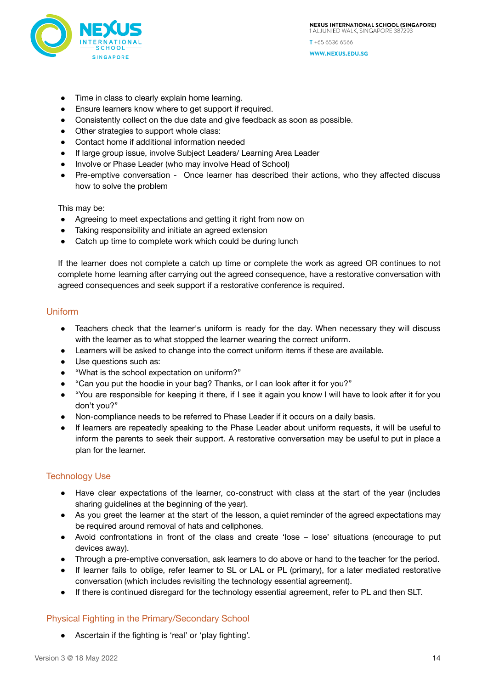

WWW.NEXUS.EDU.SG

- Time in class to clearly explain home learning.
- Ensure learners know where to get support if required.
- Consistently collect on the due date and give feedback as soon as possible.
- Other strategies to support whole class:
- Contact home if additional information needed
- If large group issue, involve Subject Leaders/ Learning Area Leader
- Involve or Phase Leader (who may involve Head of School)
- Pre-emptive conversation Once learner has described their actions, who they affected discuss how to solve the problem

This may be:

- Agreeing to meet expectations and getting it right from now on
- Taking responsibility and initiate an agreed extension
- Catch up time to complete work which could be during lunch

If the learner does not complete a catch up time or complete the work as agreed OR continues to not complete home learning after carrying out the agreed consequence, have a restorative conversation with agreed consequences and seek support if a restorative conference is required.

## Uniform

- Teachers check that the learner's uniform is ready for the day. When necessary they will discuss with the learner as to what stopped the learner wearing the correct uniform.
- Learners will be asked to change into the correct uniform items if these are available.
- Use questions such as:
- "What is the school expectation on uniform?"
- "Can you put the hoodie in your bag? Thanks, or I can look after it for you?"
- "You are responsible for keeping it there, if I see it again you know I will have to look after it for you don't you?"
- Non-compliance needs to be referred to Phase Leader if it occurs on a daily basis.
- If learners are repeatedly speaking to the Phase Leader about uniform requests, it will be useful to inform the parents to seek their support. A restorative conversation may be useful to put in place a plan for the learner.

## Technology Use

- Have clear expectations of the learner, co-construct with class at the start of the year (includes sharing guidelines at the beginning of the year).
- As you greet the learner at the start of the lesson, a quiet reminder of the agreed expectations may be required around removal of hats and cellphones.
- Avoid confrontations in front of the class and create 'lose lose' situations (encourage to put devices away).
- Through a pre-emptive conversation, ask learners to do above or hand to the teacher for the period.
- If learner fails to oblige, refer learner to SL or LAL or PL (primary), for a later mediated restorative conversation (which includes revisiting the technology essential agreement).
- If there is continued disregard for the technology essential agreement, refer to PL and then SLT.

## Physical Fighting in the Primary/Secondary School

● Ascertain if the fighting is 'real' or 'play fighting'.